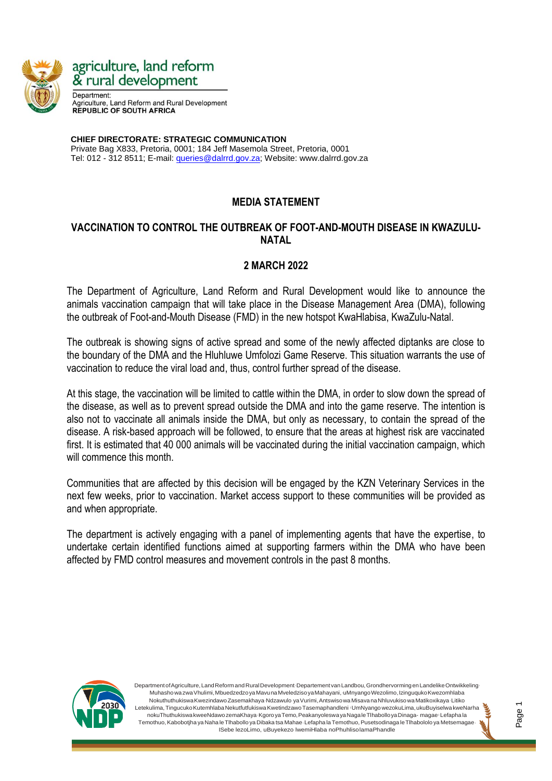

& rural development Denartment: **Agriculture, Land Reform and Rural Development REPUBLIC OF SOUTH AFRICA** 

**CHIEF DIRECTORATE: STRATEGIC COMMUNICATION** Private Bag X833, Pretoria, 0001; 184 Jeff Masemola Street, Pretoria, 0001 Tel: 012 - 312 8511; E-mail: [queries@dalrrd.gov.za;](mailto:queries@dalrrd.gov.za) Website: www.dalrrd.gov.za

## **MEDIA STATEMENT**

## **VACCINATION TO CONTROL THE OUTBREAK OF FOOT-AND-MOUTH DISEASE IN KWAZULU-NATAL**

## **2 MARCH 2022**

The Department of Agriculture, Land Reform and Rural Development would like to announce the animals vaccination campaign that will take place in the Disease Management Area (DMA), following the outbreak of Foot-and-Mouth Disease (FMD) in the new hotspot KwaHlabisa, KwaZulu-Natal.

The outbreak is showing signs of active spread and some of the newly affected diptanks are close to the boundary of the DMA and the Hluhluwe Umfolozi Game Reserve. This situation warrants the use of vaccination to reduce the viral load and, thus, control further spread of the disease.

At this stage, the vaccination will be limited to cattle within the DMA, in order to slow down the spread of the disease, as well as to prevent spread outside the DMA and into the game reserve. The intention is also not to vaccinate all animals inside the DMA, but only as necessary, to contain the spread of the disease. A risk-based approach will be followed, to ensure that the areas at highest risk are vaccinated first. It is estimated that 40 000 animals will be vaccinated during the initial vaccination campaign, which will commence this month.

Communities that are affected by this decision will be engaged by the KZN Veterinary Services in the next few weeks, prior to vaccination. Market access support to these communities will be provided as and when appropriate.

The department is actively engaging with a panel of implementing agents that have the expertise, to undertake certain identified functions aimed at supporting farmers within the DMA who have been affected by FMD control measures and movement controls in the past 8 months.



Department of Agriculture, Land Reform and Rural Development <sub>Departement van Landbou, Grondhervorming en Landelike Ontwikkeling</sub> Muhasho wa zwa Vhulimi, Mbuedzedzo ya Mavuna Mveledziso ya Mahayani, uMnyango Wezolimo, Izinguquko Kwezomhlaba Nokuthuthukiswa Kwezindawo Zasemakhaya Ndzawulo ya Vurimi, Antswiso wa Misava na Nhluvukiso wa Matikoxikaya Litiko Letekulima, Tingucuko Kutemhlaba Nekutfutfukiswa Kwetindzawo Tasemaphandleni (UmNyango wezokuLima, ukuBuyiselwa kweNarha nokuThuthukiswa kweeNdawo zemaKhaya Kgoro ya Temo, Peakanyoleswa ya Nagale Tlhabollo ya Dinaga- magae Lefapha la Temothuo, Kabobotjha ya Naha le Tlhabollo ya Dibaka tsa Mahae (Lefapha la Temothuo, Pusetsodinaga le Tlhabololo ya Metsemagae ISebe lezoLimo, uBuyekezo lwemiHlaba noPhuhlisolamaPhandle